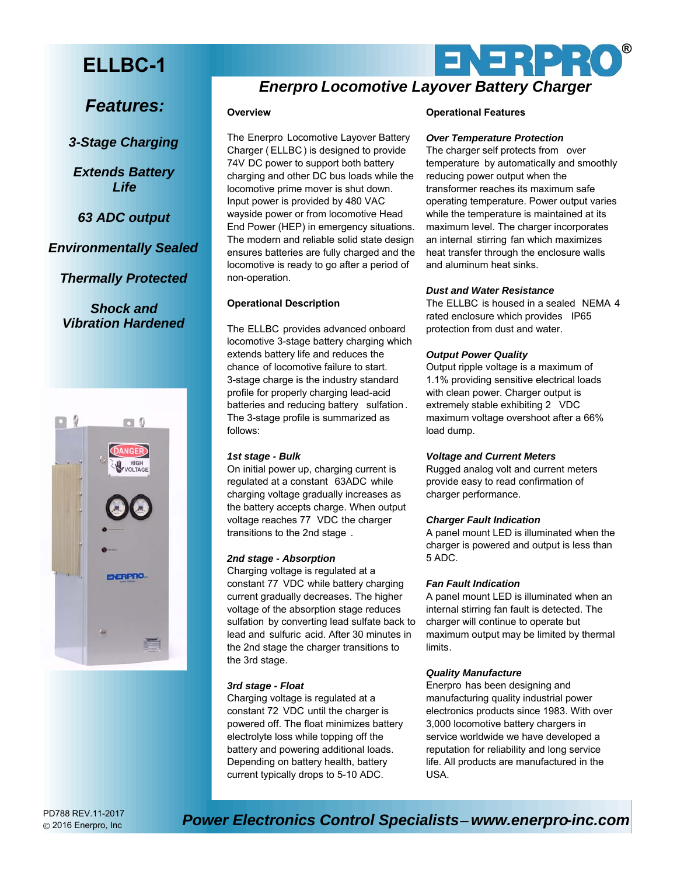# **ELLBC-1**

*Features:*

*3-Stage Charging*

*Extends Battery Life*

*63 ADC output*

*Environmentally Sealed*

*Thermally Protected*

*Shock and Vibration Hardened*



2016 Enerpro, Inc

# *Enerpro Locomotive Layover Battery Charger*

# **Overview**

The Enerpro Locomotive Layover Battery Charger ( ELLBC) is designed to provide 74V DC power to support both battery charging and other DC bus loads while the locomotive prime mover is shut down. Input power is provided by 480 VAC wayside power or from locomotive Head End Power (HEP) in emergency situations. The modern and reliable solid state design ensures batteries are fully charged and the locomotive is ready to go after a period of non-operation.

# **Operational Description**

The ELLBC provides advanced onboard locomotive 3-stage battery charging which extends battery life and reduces the chance of locomotive failure to start. 3-stage charge is the industry standard profile for properly charging lead-acid batteries and reducing battery sulfation . The 3-stage profile is summarized as follows:

# *1st stage - Bulk*

On initial power up, charging current is regulated at a constant 63ADC while charging voltage gradually increases as the battery accepts charge. When output voltage reaches 77 VDC the charger transitions to the 2nd stage *.*

# *2nd stage - Absorption*

Charging voltage is regulated at a constant 77 VDC while battery charging current gradually decreases. The higher voltage of the absorption stage reduces sulfation by converting lead sulfate back to lead and sulfuric acid. After 30 minutes in the 2nd stage the charger transitions to the 3rd stage.

# *3rd stage - Float*

Charging voltage is regulated at a constant 72 VDC until the charger is powered off. The float minimizes battery electrolyte loss while topping off the battery and powering additional loads. Depending on battery health, battery current typically drops to 5-10 ADC.

# **Operational Features**

# *Over Temperature Protection*

The charger self protects from over temperature by automatically and smoothly reducing power output when the transformer reaches its maximum safe operating temperature. Power output varies while the temperature is maintained at its maximum level. The charger incorporates an internal stirring fan which maximizes heat transfer through the enclosure walls and aluminum heat sinks.

ENERPRO

**®**

# *Dust and Water Resistance*

The ELLBC is housed in a sealed NEMA 4 rated enclosure which provides IP65 protection from dust and water.

# *Output Power Quality*

Output ripple voltage is a maximum of 1.1% providing sensitive electrical loads with clean power. Charger output is extremely stable exhibiting 2 VDC maximum voltage overshoot after a 66% load dump.

# *Voltage and Current Meters*

Rugged analog volt and current meters provide easy to read confirmation of charger performance.

# *Charger Fault Indication*

A panel mount LED is illuminated when the charger is powered and output is less than 5 ADC.

# *Fan Fault Indication*

A panel mount LED is illuminated when an internal stirring fan fault is detected. The charger will continue to operate but maximum output may be limited by thermal limits*.*

# *Quality Manufacture*

Enerpro has been designing and manufacturing quality industrial power electronics products since 1983. With over 3,000 locomotive battery chargers in service worldwide we have developed a reputation for reliability and long service life. All products are manufactured in the USA.